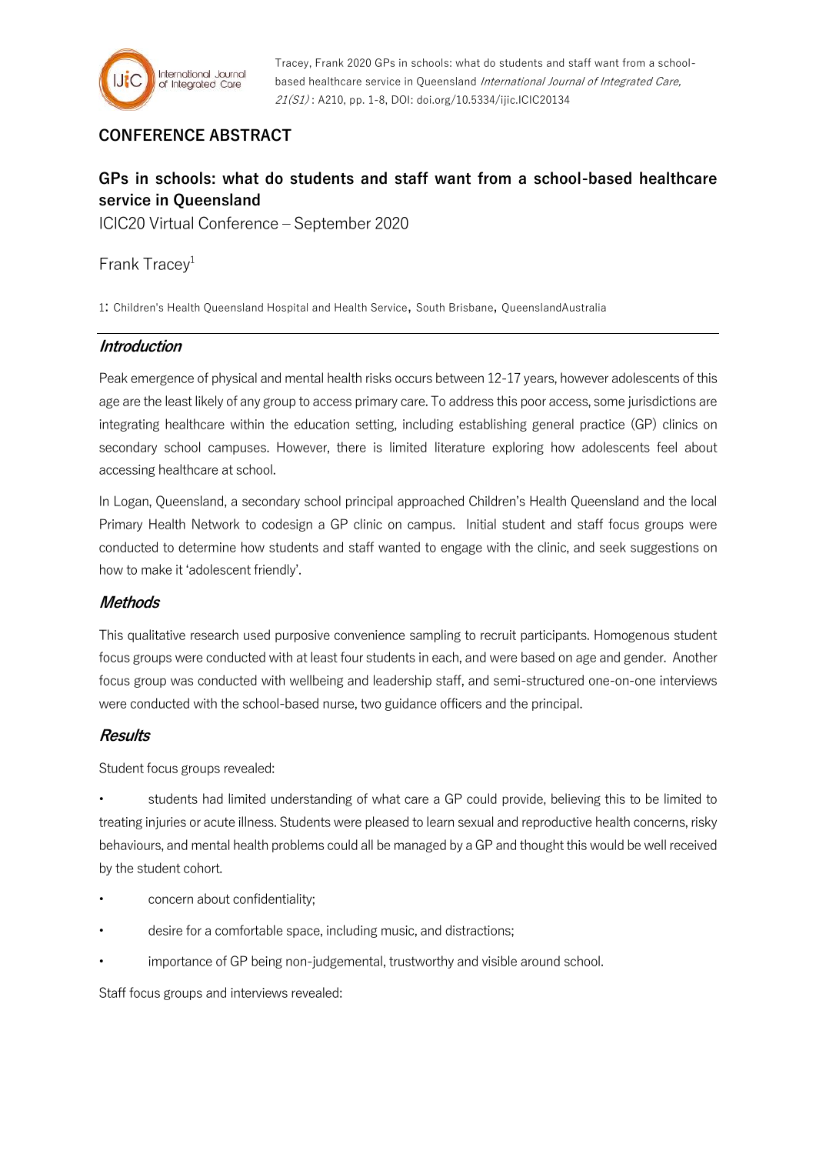

Tracey, Frank 2020 GPs in schools: what do students and staff want from a schoolbased healthcare service in Queensland International Journal of Integrated Care, 21(S1) : A210, pp. 1-8, DOI: doi.org/10.5334/ijic.ICIC20134

## **CONFERENCE ABSTRACT**

# **GPs in schools: what do students and staff want from a school-based healthcare service in Queensland**

ICIC20 Virtual Conference – September 2020

Frank Tracey<sup>1</sup>

1: Children's Health Queensland Hospital and Health Service, South Brisbane, QueenslandAustralia

## **Introduction**

Peak emergence of physical and mental health risks occurs between 12-17 years, however adolescents of this age are the least likely of any group to access primary care. To address this poor access, some jurisdictions are integrating healthcare within the education setting, including establishing general practice (GP) clinics on secondary school campuses. However, there is limited literature exploring how adolescents feel about accessing healthcare at school.

In Logan, Queensland, a secondary school principal approached Children's Health Queensland and the local Primary Health Network to codesign a GP clinic on campus. Initial student and staff focus groups were conducted to determine how students and staff wanted to engage with the clinic, and seek suggestions on how to make it 'adolescent friendly'.

## **Methods**

This qualitative research used purposive convenience sampling to recruit participants. Homogenous student focus groups were conducted with at least four students in each, and were based on age and gender. Another focus group was conducted with wellbeing and leadership staff, and semi-structured one-on-one interviews were conducted with the school-based nurse, two guidance officers and the principal.

## **Results**

Student focus groups revealed:

• students had limited understanding of what care a GP could provide, believing this to be limited to treating injuries or acute illness. Students were pleased to learn sexual and reproductive health concerns, risky behaviours, and mental health problems could all be managed by a GP and thought this would be well received by the student cohort.

- concern about confidentiality;
- desire for a comfortable space, including music, and distractions;
- importance of GP being non-judgemental, trustworthy and visible around school.

Staff focus groups and interviews revealed: